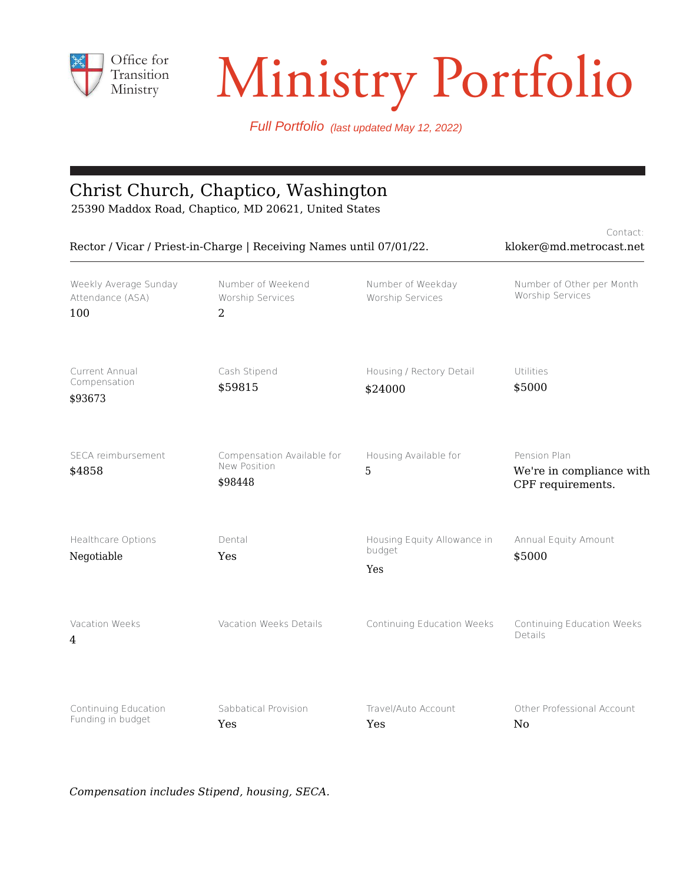

# Transition Ministry Portfolio

Contact:

Full Portfolio (last updated May 12, 2022)

#### Christ Church, Chaptico, Washington

25390 Maddox Road, Chaptico, MD 20621, United States

| Rector / Vicar / Priest-in-Charge   Receiving Names until 07/01/22. | CUITEGEL.<br>kloker@md.metrocast.net                  |                                              |                                                               |
|---------------------------------------------------------------------|-------------------------------------------------------|----------------------------------------------|---------------------------------------------------------------|
| Weekly Average Sunday<br>Attendance (ASA)<br>100                    | Number of Weekend<br>Worship Services<br>2            | Number of Weekday<br>Worship Services        | Number of Other per Month<br>Worship Services                 |
| Current Annual<br>Compensation<br>\$93673                           | Cash Stipend<br>\$59815                               | Housing / Rectory Detail<br>\$24000          | Utilities<br>\$5000                                           |
| SECA reimbursement<br>\$4858                                        | Compensation Available for<br>New Position<br>\$98448 | Housing Available for<br>5                   | Pension Plan<br>We're in compliance with<br>CPF requirements. |
| Healthcare Options<br>Negotiable                                    | Dental<br>Yes                                         | Housing Equity Allowance in<br>budget<br>Yes | Annual Equity Amount<br>\$5000                                |
| Vacation Weeks<br>4                                                 | Vacation Weeks Details                                | Continuing Education Weeks                   | Continuing Education Weeks<br>Details                         |
| Continuing Education<br>Funding in budget                           | Sabbatical Provision<br>Yes                           | Travel/Auto Account<br>Yes                   | Other Professional Account<br>N <sub>0</sub>                  |

*Compensation includes Stipend, housing, SECA.*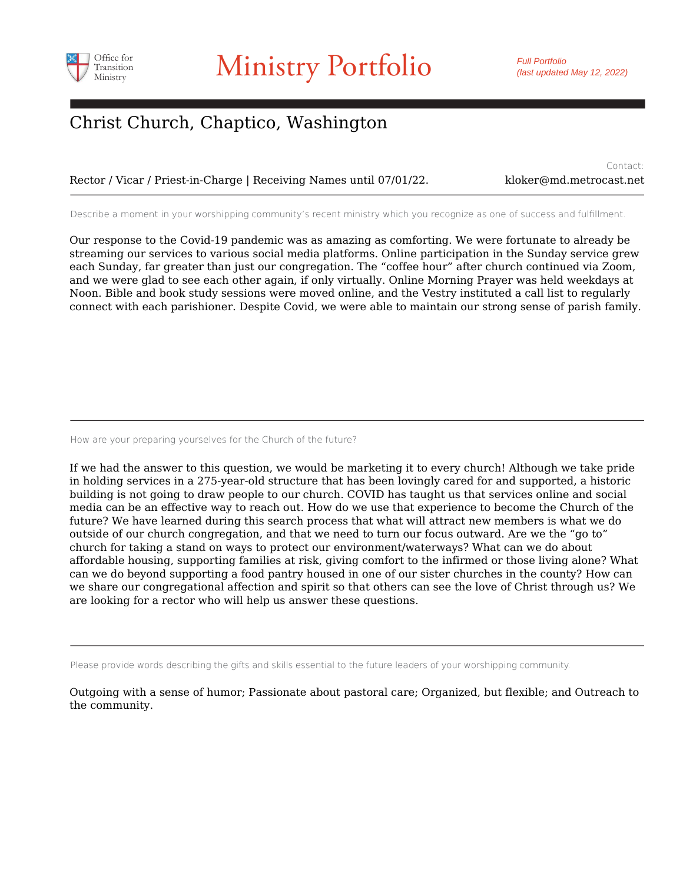

Contact:

### Christ Church, Chaptico, Washington

Rector / Vicar / Priest-in-Charge | Receiving Names until 07/01/22. kloker@md.metrocast.net

Describe a moment in your worshipping community's recent ministry which you recognize as one of success and fulfillment.

Our response to the Covid-19 pandemic was as amazing as comforting. We were fortunate to already be streaming our services to various social media platforms. Online participation in the Sunday service grew each Sunday, far greater than just our congregation. The "coffee hour" after church continued via Zoom, and we were glad to see each other again, if only virtually. Online Morning Prayer was held weekdays at Noon. Bible and book study sessions were moved online, and the Vestry instituted a call list to regularly connect with each parishioner. Despite Covid, we were able to maintain our strong sense of parish family.

How are your preparing yourselves for the Church of the future?

If we had the answer to this question, we would be marketing it to every church! Although we take pride in holding services in a 275-year-old structure that has been lovingly cared for and supported, a historic building is not going to draw people to our church. COVID has taught us that services online and social media can be an effective way to reach out. How do we use that experience to become the Church of the future? We have learned during this search process that what will attract new members is what we do outside of our church congregation, and that we need to turn our focus outward. Are we the "go to" church for taking a stand on ways to protect our environment/waterways? What can we do about affordable housing, supporting families at risk, giving comfort to the infirmed or those living alone? What can we do beyond supporting a food pantry housed in one of our sister churches in the county? How can we share our congregational affection and spirit so that others can see the love of Christ through us? We are looking for a rector who will help us answer these questions.

Please provide words describing the gifts and skills essential to the future leaders of your worshipping community.

Outgoing with a sense of humor; Passionate about pastoral care; Organized, but flexible; and Outreach to the community.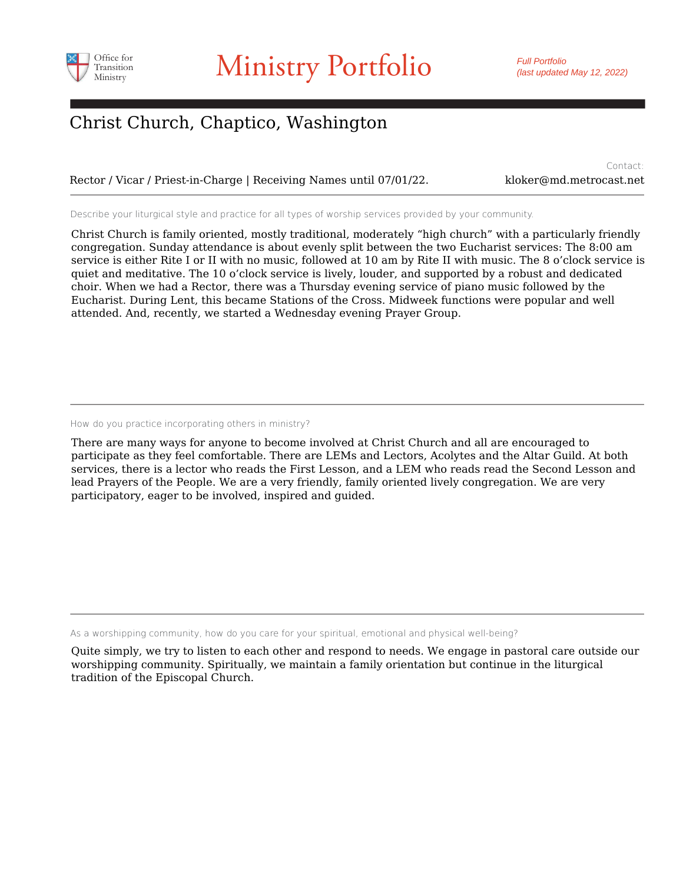

### Christ Church, Chaptico, Washington

Rector / Vicar / Priest-in-Charge | Receiving Names until 07/01/22. kloker@md.metrocast.net

Contact:

Describe your liturgical style and practice for all types of worship services provided by your community.

Christ Church is family oriented, mostly traditional, moderately "high church" with a particularly friendly congregation. Sunday attendance is about evenly split between the two Eucharist services: The 8:00 am service is either Rite I or II with no music, followed at 10 am by Rite II with music. The 8 o'clock service is quiet and meditative. The 10 o'clock service is lively, louder, and supported by a robust and dedicated choir. When we had a Rector, there was a Thursday evening service of piano music followed by the Eucharist. During Lent, this became Stations of the Cross. Midweek functions were popular and well attended. And, recently, we started a Wednesday evening Prayer Group.

How do you practice incorporating others in ministry?

There are many ways for anyone to become involved at Christ Church and all are encouraged to participate as they feel comfortable. There are LEMs and Lectors, Acolytes and the Altar Guild. At both services, there is a lector who reads the First Lesson, and a LEM who reads read the Second Lesson and lead Prayers of the People. We are a very friendly, family oriented lively congregation. We are very participatory, eager to be involved, inspired and guided.

As a worshipping community, how do you care for your spiritual, emotional and physical well-being?

Quite simply, we try to listen to each other and respond to needs. We engage in pastoral care outside our worshipping community. Spiritually, we maintain a family orientation but continue in the liturgical tradition of the Episcopal Church.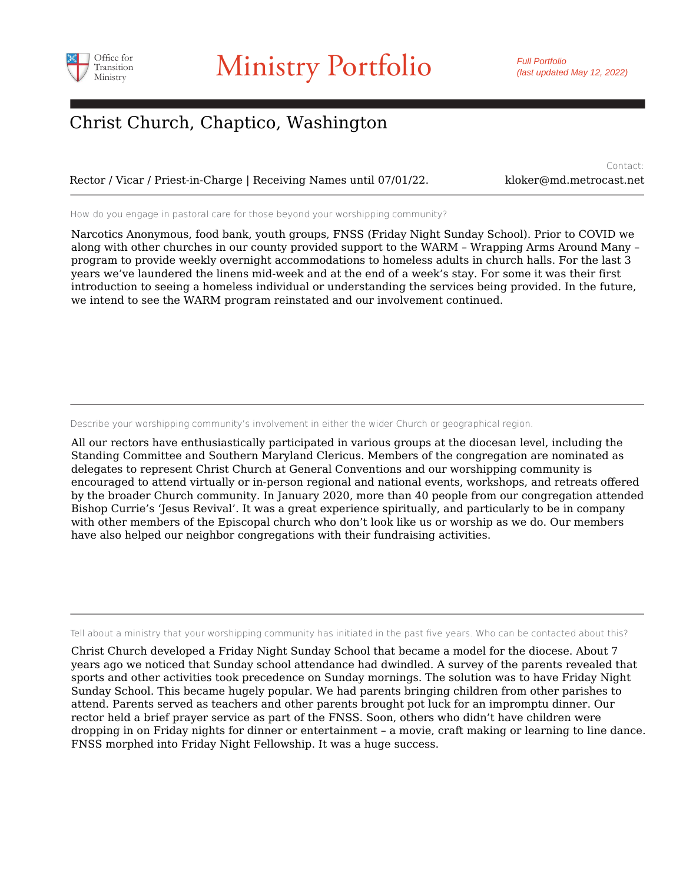

### Christ Church, Chaptico, Washington

Rector / Vicar / Priest-in-Charge | Receiving Names until 07/01/22. kloker@md.metrocast.net

Contact:

How do you engage in pastoral care for those beyond your worshipping community?

Narcotics Anonymous, food bank, youth groups, FNSS (Friday Night Sunday School). Prior to COVID we along with other churches in our county provided support to the WARM – Wrapping Arms Around Many – program to provide weekly overnight accommodations to homeless adults in church halls. For the last 3 years we've laundered the linens mid-week and at the end of a week's stay. For some it was their first introduction to seeing a homeless individual or understanding the services being provided. In the future, we intend to see the WARM program reinstated and our involvement continued.

Describe your worshipping community's involvement in either the wider Church or geographical region.

All our rectors have enthusiastically participated in various groups at the diocesan level, including the Standing Committee and Southern Maryland Clericus. Members of the congregation are nominated as delegates to represent Christ Church at General Conventions and our worshipping community is encouraged to attend virtually or in-person regional and national events, workshops, and retreats offered by the broader Church community. In January 2020, more than 40 people from our congregation attended Bishop Currie's 'Jesus Revival'. It was a great experience spiritually, and particularly to be in company with other members of the Episcopal church who don't look like us or worship as we do. Our members have also helped our neighbor congregations with their fundraising activities.

Tell about a ministry that your worshipping community has initiated in the past five years. Who can be contacted about this?

Christ Church developed a Friday Night Sunday School that became a model for the diocese. About 7 years ago we noticed that Sunday school attendance had dwindled. A survey of the parents revealed that sports and other activities took precedence on Sunday mornings. The solution was to have Friday Night Sunday School. This became hugely popular. We had parents bringing children from other parishes to attend. Parents served as teachers and other parents brought pot luck for an impromptu dinner. Our rector held a brief prayer service as part of the FNSS. Soon, others who didn't have children were dropping in on Friday nights for dinner or entertainment – a movie, craft making or learning to line dance. FNSS morphed into Friday Night Fellowship. It was a huge success.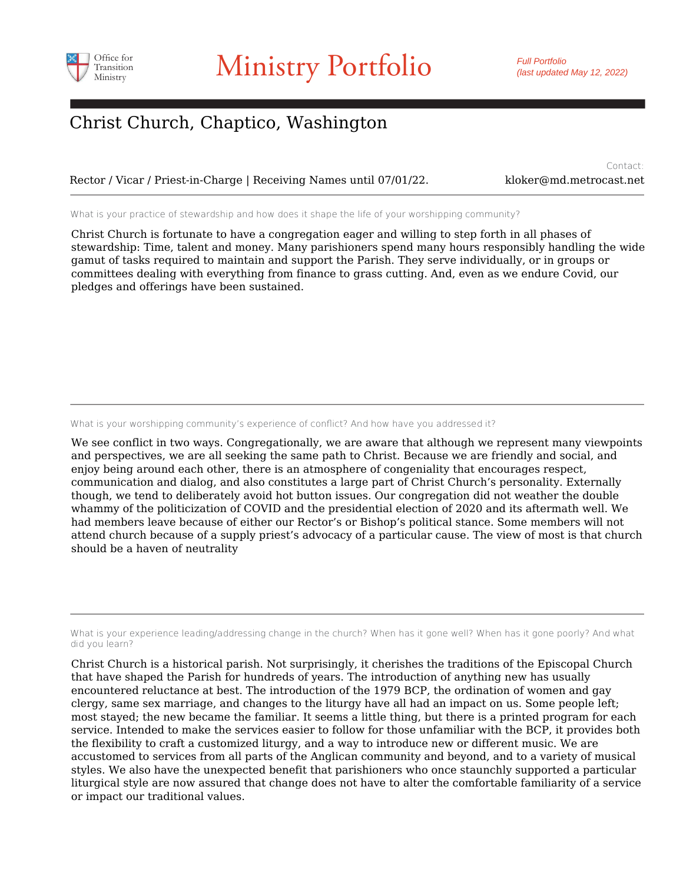

### Christ Church, Chaptico, Washington

Rector / Vicar / Priest-in-Charge | Receiving Names until 07/01/22. kloker@md.metrocast.net

Contact:

What is your practice of stewardship and how does it shape the life of your worshipping community?

Christ Church is fortunate to have a congregation eager and willing to step forth in all phases of stewardship: Time, talent and money. Many parishioners spend many hours responsibly handling the wide gamut of tasks required to maintain and support the Parish. They serve individually, or in groups or committees dealing with everything from finance to grass cutting. And, even as we endure Covid, our pledges and offerings have been sustained.

What is your worshipping community's experience of conflict? And how have you addressed it?

We see conflict in two ways. Congregationally, we are aware that although we represent many viewpoints and perspectives, we are all seeking the same path to Christ. Because we are friendly and social, and enjoy being around each other, there is an atmosphere of congeniality that encourages respect, communication and dialog, and also constitutes a large part of Christ Church's personality. Externally though, we tend to deliberately avoid hot button issues. Our congregation did not weather the double whammy of the politicization of COVID and the presidential election of 2020 and its aftermath well. We had members leave because of either our Rector's or Bishop's political stance. Some members will not attend church because of a supply priest's advocacy of a particular cause. The view of most is that church should be a haven of neutrality

What is your experience leading/addressing change in the church? When has it gone well? When has it gone poorly? And what did you learn?

Christ Church is a historical parish. Not surprisingly, it cherishes the traditions of the Episcopal Church that have shaped the Parish for hundreds of years. The introduction of anything new has usually encountered reluctance at best. The introduction of the 1979 BCP, the ordination of women and gay clergy, same sex marriage, and changes to the liturgy have all had an impact on us. Some people left; most stayed; the new became the familiar. It seems a little thing, but there is a printed program for each service. Intended to make the services easier to follow for those unfamiliar with the BCP, it provides both the flexibility to craft a customized liturgy, and a way to introduce new or different music. We are accustomed to services from all parts of the Anglican community and beyond, and to a variety of musical styles. We also have the unexpected benefit that parishioners who once staunchly supported a particular liturgical style are now assured that change does not have to alter the comfortable familiarity of a service or impact our traditional values.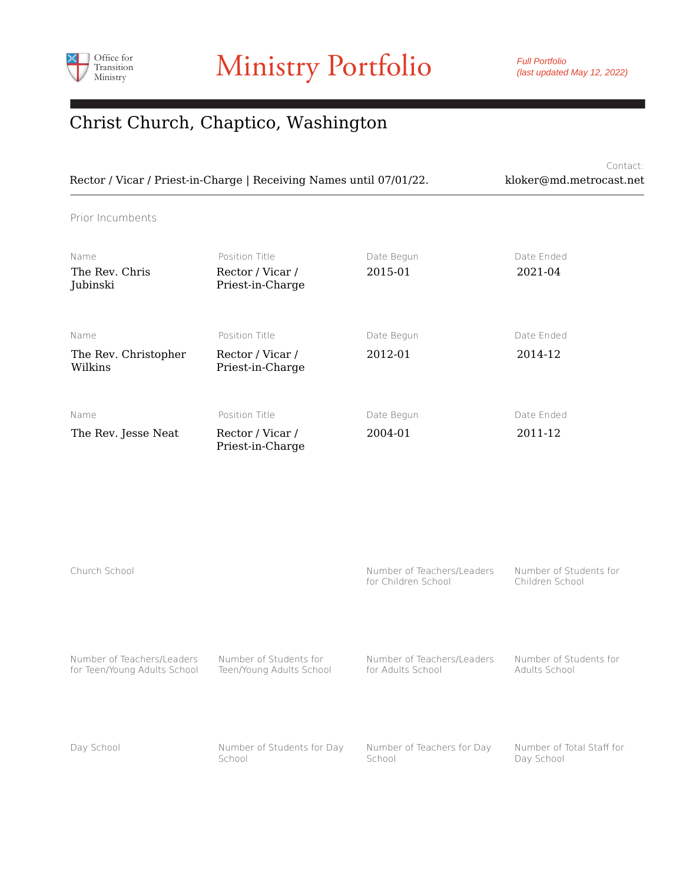

Full Portfolio (last updated May 12, 2022)

#### Christ Church, Chaptico, Washington

Contact: Rector / Vicar / Priest-in-Charge | Receiving Names until 07/01/22. kloker@md.metrocast.net

Prior Incumbents

| Name<br>The Rev. Chris<br>Jubinski      | Position Title<br>Rector / Vicar /<br>Priest-in-Charge | Date Begun<br>2015-01 | Date Ended<br>2021-04 |
|-----------------------------------------|--------------------------------------------------------|-----------------------|-----------------------|
| Name<br>The Rev. Christopher<br>Wilkins | Position Title<br>Rector / Vicar /<br>Priest-in-Charge | Date Begun<br>2012-01 | Date Ended<br>2014-12 |
| Name<br>The Rev. Jesse Neat             | Position Title<br>Rector / Vicar /<br>Priest-in-Charge | Date Begun<br>2004-01 | Date Ended<br>2011-12 |

| Church School                |                            | Number of Teachers/Leaders<br>for Children School | Number of Students for<br>Children School |
|------------------------------|----------------------------|---------------------------------------------------|-------------------------------------------|
| Number of Teachers/Leaders   | Number of Students for     | Number of Teachers/Leaders                        | Number of Students for                    |
| for Teen/Young Adults School | Teen/Young Adults School   | for Adults School                                 | Adults School                             |
| Day School                   | Number of Students for Day | Number of Teachers for Day                        | Number of Total Staff for                 |
|                              | School                     | School                                            | Day School                                |